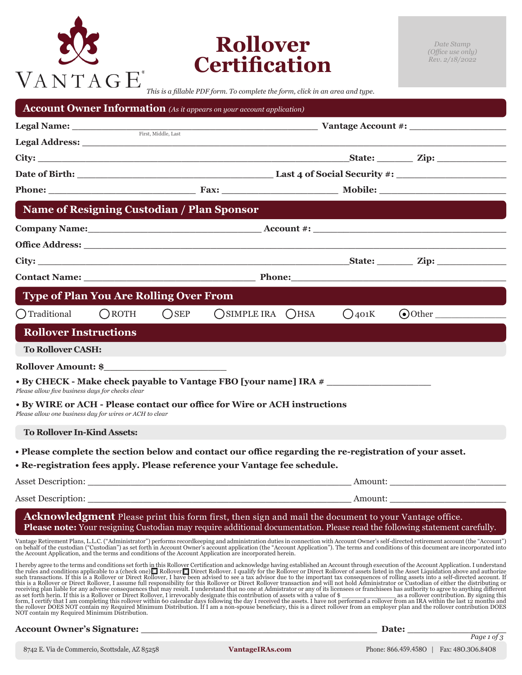# VANTAGE<sup>®</sup>

# **Rollover Certification**

*This is a fillable PDF form. To complete the form, click in an area and type.*

|                                                         |                                                   |                                                                                                                                                                                                                                     | <b>Account Owner Information</b> (As it appears on your account application)                                                                                                                                                   |  |            |                                                                                                                                                                                                                                                                                                                                                                                                                                                                                                                                                                                                                                                                        |
|---------------------------------------------------------|---------------------------------------------------|-------------------------------------------------------------------------------------------------------------------------------------------------------------------------------------------------------------------------------------|--------------------------------------------------------------------------------------------------------------------------------------------------------------------------------------------------------------------------------|--|------------|------------------------------------------------------------------------------------------------------------------------------------------------------------------------------------------------------------------------------------------------------------------------------------------------------------------------------------------------------------------------------------------------------------------------------------------------------------------------------------------------------------------------------------------------------------------------------------------------------------------------------------------------------------------------|
|                                                         |                                                   |                                                                                                                                                                                                                                     |                                                                                                                                                                                                                                |  |            |                                                                                                                                                                                                                                                                                                                                                                                                                                                                                                                                                                                                                                                                        |
|                                                         |                                                   |                                                                                                                                                                                                                                     |                                                                                                                                                                                                                                |  |            |                                                                                                                                                                                                                                                                                                                                                                                                                                                                                                                                                                                                                                                                        |
|                                                         |                                                   |                                                                                                                                                                                                                                     |                                                                                                                                                                                                                                |  |            |                                                                                                                                                                                                                                                                                                                                                                                                                                                                                                                                                                                                                                                                        |
|                                                         |                                                   |                                                                                                                                                                                                                                     |                                                                                                                                                                                                                                |  |            |                                                                                                                                                                                                                                                                                                                                                                                                                                                                                                                                                                                                                                                                        |
|                                                         |                                                   |                                                                                                                                                                                                                                     |                                                                                                                                                                                                                                |  |            | Phone: Fax: Mobile: Mobile: Mobile: Mobile: Mobile: Mobile: Mobile: Mobile: Mobile: Mobile: Mobile: Mobile: Mobile: Mobile: Mobile: Mobile: Mobile: Mobile: Mobile: Mobile: Mobile: Mobile: Mobile: Mobile: Mobile: Mobile: Mo                                                                                                                                                                                                                                                                                                                                                                                                                                         |
|                                                         | <b>Name of Resigning Custodian / Plan Sponsor</b> |                                                                                                                                                                                                                                     |                                                                                                                                                                                                                                |  |            |                                                                                                                                                                                                                                                                                                                                                                                                                                                                                                                                                                                                                                                                        |
|                                                         |                                                   |                                                                                                                                                                                                                                     |                                                                                                                                                                                                                                |  |            |                                                                                                                                                                                                                                                                                                                                                                                                                                                                                                                                                                                                                                                                        |
|                                                         |                                                   |                                                                                                                                                                                                                                     | Office Address: Note and the set of the set of the set of the set of the set of the set of the set of the set of the set of the set of the set of the set of the set of the set of the set of the set of the set of the set of |  |            |                                                                                                                                                                                                                                                                                                                                                                                                                                                                                                                                                                                                                                                                        |
|                                                         |                                                   |                                                                                                                                                                                                                                     |                                                                                                                                                                                                                                |  |            |                                                                                                                                                                                                                                                                                                                                                                                                                                                                                                                                                                                                                                                                        |
|                                                         |                                                   | <b>Contact Name:</b> Phone: Phone: Phone: Phone: Phone: Phone: Phone: Phone: Phone: Phone: Phone: Phone: Phone: Phone: Phone: Phone: Phone: Phone: Phone: Phone: Phone: Phone: Phone: Phone: Phone: Phone: Phone: Phone: Phone: Pho |                                                                                                                                                                                                                                |  |            |                                                                                                                                                                                                                                                                                                                                                                                                                                                                                                                                                                                                                                                                        |
|                                                         | <b>Type of Plan You Are Rolling Over From</b>     |                                                                                                                                                                                                                                     |                                                                                                                                                                                                                                |  |            |                                                                                                                                                                                                                                                                                                                                                                                                                                                                                                                                                                                                                                                                        |
| (Traditional                                            | $\bigcap$ ROTH                                    | $O$ SEP                                                                                                                                                                                                                             | $O$ SIMPLE IRA $O$ HSA                                                                                                                                                                                                         |  | $Q_{401}K$ | $\odot$ Other                                                                                                                                                                                                                                                                                                                                                                                                                                                                                                                                                                                                                                                          |
| <b>Rollover Instructions</b>                            |                                                   |                                                                                                                                                                                                                                     |                                                                                                                                                                                                                                |  |            |                                                                                                                                                                                                                                                                                                                                                                                                                                                                                                                                                                                                                                                                        |
| <b>To Rollover CASH:</b>                                |                                                   |                                                                                                                                                                                                                                     |                                                                                                                                                                                                                                |  |            |                                                                                                                                                                                                                                                                                                                                                                                                                                                                                                                                                                                                                                                                        |
|                                                         |                                                   |                                                                                                                                                                                                                                     |                                                                                                                                                                                                                                |  |            |                                                                                                                                                                                                                                                                                                                                                                                                                                                                                                                                                                                                                                                                        |
| Please allow five business days for checks clear        |                                                   |                                                                                                                                                                                                                                     | • By CHECK - Make check payable to Vantage FBO [your name] IRA #                                                                                                                                                               |  |            |                                                                                                                                                                                                                                                                                                                                                                                                                                                                                                                                                                                                                                                                        |
| Please allow one business day for wires or ACH to clear |                                                   |                                                                                                                                                                                                                                     | • By WIRE or ACH - Please contact our office for Wire or ACH instructions                                                                                                                                                      |  |            |                                                                                                                                                                                                                                                                                                                                                                                                                                                                                                                                                                                                                                                                        |
| <b>To Rollover In-Kind Assets:</b>                      |                                                   |                                                                                                                                                                                                                                     |                                                                                                                                                                                                                                |  |            |                                                                                                                                                                                                                                                                                                                                                                                                                                                                                                                                                                                                                                                                        |
|                                                         |                                                   |                                                                                                                                                                                                                                     |                                                                                                                                                                                                                                |  |            | . Please complete the section below and contact our office regarding the re-registration of your asset.                                                                                                                                                                                                                                                                                                                                                                                                                                                                                                                                                                |
|                                                         |                                                   |                                                                                                                                                                                                                                     | . Re-registration fees apply. Please reference your Vantage fee schedule.                                                                                                                                                      |  |            |                                                                                                                                                                                                                                                                                                                                                                                                                                                                                                                                                                                                                                                                        |
| <b>Asset Description:</b>                               |                                                   |                                                                                                                                                                                                                                     |                                                                                                                                                                                                                                |  | Amount:    |                                                                                                                                                                                                                                                                                                                                                                                                                                                                                                                                                                                                                                                                        |
|                                                         |                                                   |                                                                                                                                                                                                                                     |                                                                                                                                                                                                                                |  |            |                                                                                                                                                                                                                                                                                                                                                                                                                                                                                                                                                                                                                                                                        |
|                                                         |                                                   |                                                                                                                                                                                                                                     |                                                                                                                                                                                                                                |  |            | Acknowledgment Please print this form first, then sign and mail the document to your Vantage office.<br><b>Please note:</b> Your resigning Custodian may require additional documentation. Please read the following statement carefully.                                                                                                                                                                                                                                                                                                                                                                                                                              |
|                                                         |                                                   |                                                                                                                                                                                                                                     | the Account Application, and the terms and conditions of the Account Application are incorporated herein.                                                                                                                      |  |            | Vantage Retirement Plans, L.L.C. ("Administrator") performs recordkeeping and administration duties in connection with Account Owner's self-directed retirement account (the "Account") on behalf of the custodian ("Custodian                                                                                                                                                                                                                                                                                                                                                                                                                                         |
| NOT contain my Required Minimum Distribution.           |                                                   |                                                                                                                                                                                                                                     |                                                                                                                                                                                                                                |  |            | I hereby agree to the terms and conditions set forth in this Rollover Certification and acknowledge having established an Account through execution of the Account Application. I understand the rules and conditions applica<br>receiving plan liable for any adverse consequences that may result. I understand that no one at Admistrator or any of its licensees or franchisees has authority to agree to anything different<br>exercing pairs and the rollower of Direct Rollower, I irrevocably designate this contribution of assets with a value of \$<br>asset forth herin. If this is a Rollower or Direct Rollower, I irrevocably designate this contributi |
|                                                         |                                                   |                                                                                                                                                                                                                                     |                                                                                                                                                                                                                                |  |            | Date:                                                                                                                                                                                                                                                                                                                                                                                                                                                                                                                                                                                                                                                                  |
|                                                         |                                                   |                                                                                                                                                                                                                                     |                                                                                                                                                                                                                                |  |            | Page 1 of $3$                                                                                                                                                                                                                                                                                                                                                                                                                                                                                                                                                                                                                                                          |

8742 E. Via de Commercio, Scottsdale, AZ 85258 **VantageIRAs.com** Phone: 866.459.458O | Fax: 48O.3O6.84O8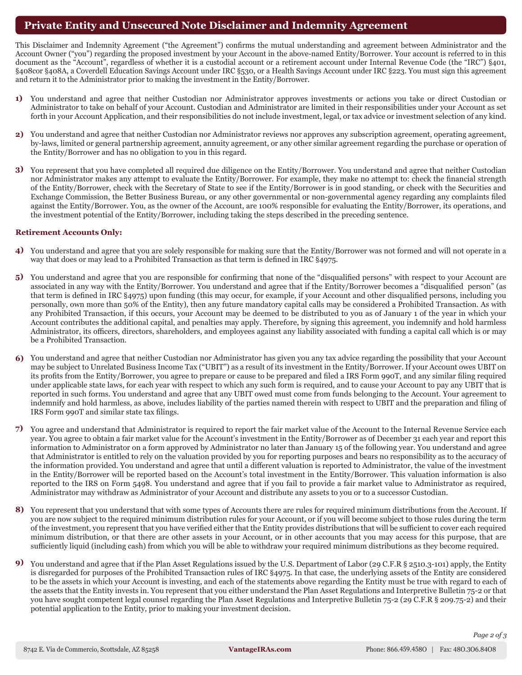# **Private Entity and Unsecured Note Disclaimer and Indemnity Agreement**

This Disclaimer and Indemnity Agreement ("the Agreement") confirms the mutual understanding and agreement between Administrator and the Account Owner ("you") regarding the proposed investment by your Account in the above-named Entity/Borrower. Your account is referred to in this document as the "Account", regardless of whether it is a custodial account or a retirement account under Internal Revenue Code (the "IRC") §401, §408cor §408A, a Coverdell Education Savings Account under IRC §530, or a Health Savings Account under IRC §223. You must sign this agreement and return it to the Administrator prior to making the investment in the Entity/Borrower.

- You understand and agree that neither Custodian nor Administrator approves investments or actions you take or direct Custodian or **1)** Administrator to take on behalf of your Account. Custodian and Administrator are limited in their responsibilities under your Account as set forth in your Account Application, and their responsibilities do not include investment, legal, or tax advice or investment selection of any kind.
- You understand and agree that neither Custodian nor Administrator reviews nor approves any subscription agreement, operating agreement, **2)** by-laws, limited or general partnership agreement, annuity agreement, or any other similar agreement regarding the purchase or operation of the Entity/Borrower and has no obligation to you in this regard.
- You represent that you have completed all required due diligence on the Entity/Borrower. You understand and agree that neither Custodian **3)** nor Administrator makes any attempt to evaluate the Entity/Borrower. For example, they make no attempt to: check the financial strength of the Entity/Borrower, check with the Secretary of State to see if the Entity/Borrower is in good standing, or check with the Securities and Exchange Commission, the Better Business Bureau, or any other governmental or non-governmental agency regarding any complaints filed against the Entity/Borrower. You, as the owner of the Account, are 100% responsible for evaluating the Entity/Borrower, its operations, and the investment potential of the Entity/Borrower, including taking the steps described in the preceding sentence.

### **Retirement Accounts Only:**

- You understand and agree that you are solely responsible for making sure that the Entity/Borrower was not formed and will not operate in a **4)** way that does or may lead to a Prohibited Transaction as that term is defined in IRC §4975.
- 5) You understand and agree that you are responsible for confirming that none of the "disqualified persons" with respect to your Account are associated in any way with the Entity/Borrower. You understand and agree that if the Entity/Borrower becomes a "disqualified person" (as that term is defined in IRC §4975) upon funding (this may occur, for example, if your Account and other disqualified persons, including you personally, own more than 50% of the Entity), then any future mandatory capital calls may be considered a Prohibited Transaction. As with any Prohibited Transaction, if this occurs, your Account may be deemed to be distributed to you as of January 1 of the year in which your Account contributes the additional capital, and penalties may apply. Therefore, by signing this agreement, you indemnify and hold harmless Administrator, its officers, directors, shareholders, and employees against any liability associated with funding a capital call which is or may be a Prohibited Transaction.
- You understand and agree that neither Custodian nor Administrator has given you any tax advice regarding the possibility that your Account **6)** may be subject to Unrelated Business Income Tax ("UBIT") as a result of its investment in the Entity/Borrower. If your Account owes UBIT on its profits from the Entity/Borrower, you agree to prepare or cause to be prepared and filed a IRS Form 990T, and any similar filing required under applicable state laws, for each year with respect to which any such form is required, and to cause your Account to pay any UBIT that is reported in such forms. You understand and agree that any UBIT owed must come from funds belonging to the Account. Your agreement to indemnify and hold harmless, as above, includes liability of the parties named therein with respect to UBIT and the preparation and filing of IRS Form 990T and similar state tax filings.
- You agree and understand that Administrator is required to report the fair market value of the Account to the Internal Revenue Service each **7)** year. You agree to obtain a fair market value for the Account's investment in the Entity/Borrower as of December 31 each year and report this information to Administrator on a form approved by Administrator no later than January 15 of the following year. You understand and agree that Administrator is entitled to rely on the valuation provided by you for reporting purposes and bears no responsibility as to the accuracy of the information provided. You understand and agree that until a different valuation is reported to Administrator, the value of the investment in the Entity/Borrower will be reported based on the Account's total investment in the Entity/Borrower. This valuation information is also reported to the IRS on Form 5498. You understand and agree that if you fail to provide a fair market value to Administrator as required, Administrator may withdraw as Administrator of your Account and distribute any assets to you or to a successor Custodian.
- 8) You represent that you understand that with some types of Accounts there are rules for required minimum distributions from the Account. If you are now subject to the required minimum distribution rules for your Account, or if you will become subject to those rules during the term of the investment, you represent that you have verified either that the Entity provides distributions that will be sufficient to cover each required minimum distribution, or that there are other assets in your Account, or in other accounts that you may access for this purpose, that are sufficiently liquid (including cash) from which you will be able to withdraw your required minimum distributions as they become required.
- You understand and agree that if the Plan Asset Regulations issued by the U.S. Department of Labor (29 C.F.R § 2510.3-101) apply, the Entity **9)** is disregarded for purposes of the Prohibited Transaction rules of IRC §4975. In that case, the underlying assets of the Entity are considered to be the assets in which your Account is investing, and each of the statements above regarding the Entity must be true with regard to each of the assets that the Entity invests in. You represent that you either understand the Plan Asset Regulations and Interpretive Bulletin 75-2 or that you have sought competent legal counsel regarding the Plan Asset Regulations and Interpretive Bulletin 75-2 (29 C.F.R § 209.75-2) and their potential application to the Entity, prior to making your investment decision.

*Page 2 of 3*